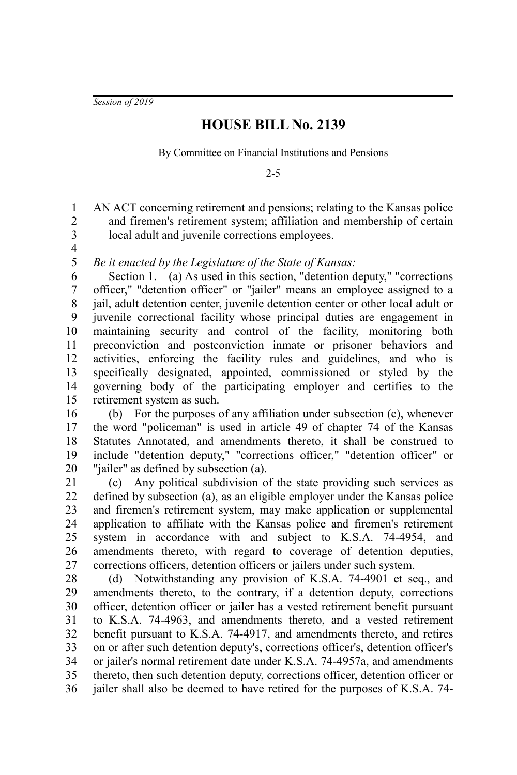*Session of 2019*

## **HOUSE BILL No. 2139**

By Committee on Financial Institutions and Pensions

2-5

AN ACT concerning retirement and pensions; relating to the Kansas police and firemen's retirement system; affiliation and membership of certain local adult and juvenile corrections employees. 1 2 3

4

*Be it enacted by the Legislature of the State of Kansas:* 5

Section 1. (a) As used in this section, "detention deputy," "corrections" officer," "detention officer" or "jailer" means an employee assigned to a jail, adult detention center, juvenile detention center or other local adult or juvenile correctional facility whose principal duties are engagement in maintaining security and control of the facility, monitoring both preconviction and postconviction inmate or prisoner behaviors and activities, enforcing the facility rules and guidelines, and who is specifically designated, appointed, commissioned or styled by the governing body of the participating employer and certifies to the retirement system as such. 6 7 8 9 10 11 12 13 14 15

(b) For the purposes of any affiliation under subsection (c), whenever the word "policeman" is used in article 49 of chapter 74 of the Kansas Statutes Annotated, and amendments thereto, it shall be construed to include "detention deputy," "corrections officer," "detention officer" or "jailer" as defined by subsection (a). 16 17 18 19 20

(c) Any political subdivision of the state providing such services as defined by subsection (a), as an eligible employer under the Kansas police and firemen's retirement system, may make application or supplemental application to affiliate with the Kansas police and firemen's retirement system in accordance with and subject to K.S.A. 74-4954, and amendments thereto, with regard to coverage of detention deputies, corrections officers, detention officers or jailers under such system. 21 22 23 24 25 26 27

(d) Notwithstanding any provision of K.S.A. 74-4901 et seq., and amendments thereto, to the contrary, if a detention deputy, corrections officer, detention officer or jailer has a vested retirement benefit pursuant to K.S.A. 74-4963, and amendments thereto, and a vested retirement benefit pursuant to K.S.A. 74-4917, and amendments thereto, and retires on or after such detention deputy's, corrections officer's, detention officer's or jailer's normal retirement date under K.S.A. 74-4957a, and amendments thereto, then such detention deputy, corrections officer, detention officer or jailer shall also be deemed to have retired for the purposes of K.S.A. 74- 28 29 30 31 32 33 34 35 36